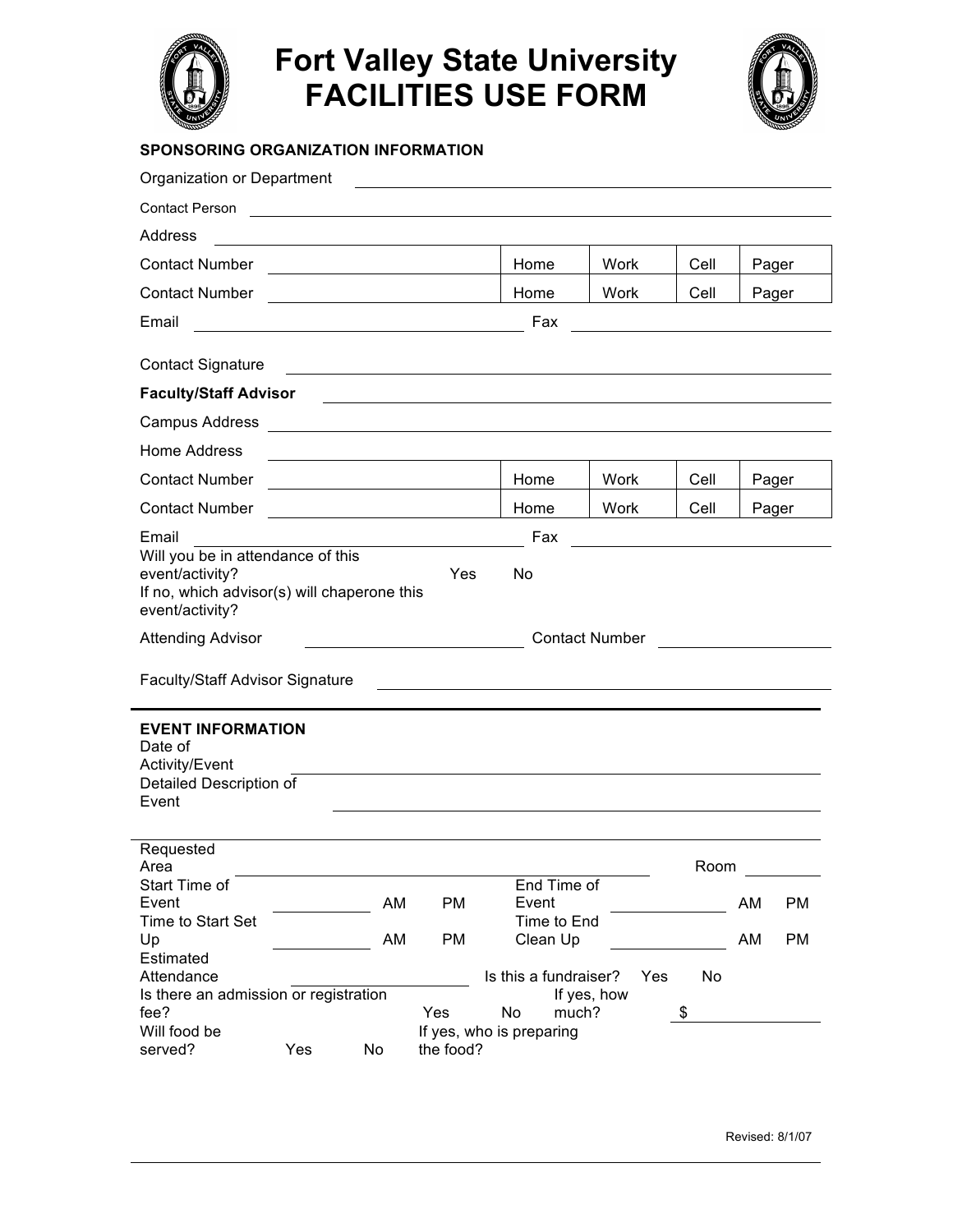

## **Fort Valley State University FACILITIES USE FORM**



## **SPONSORING ORGANIZATION INFORMATION**

| Organization or Department                                                                                             |     |    |                                                                                                                 |                          |                       |      |       |    |
|------------------------------------------------------------------------------------------------------------------------|-----|----|-----------------------------------------------------------------------------------------------------------------|--------------------------|-----------------------|------|-------|----|
| <b>Contact Person</b>                                                                                                  |     |    | the contract of the contract of the contract of the contract of the contract of the contract of the contract of |                          |                       |      |       |    |
| Address                                                                                                                |     |    |                                                                                                                 |                          |                       |      |       |    |
| <b>Contact Number</b>                                                                                                  |     |    |                                                                                                                 | Home                     | Work                  | Cell | Pager |    |
| <b>Contact Number</b>                                                                                                  |     |    |                                                                                                                 | Home                     | Work                  | Cell | Pager |    |
| Email                                                                                                                  |     |    |                                                                                                                 | Fax                      |                       |      |       |    |
|                                                                                                                        |     |    |                                                                                                                 |                          |                       |      |       |    |
| <b>Contact Signature</b>                                                                                               |     |    |                                                                                                                 |                          |                       |      |       |    |
| <b>Faculty/Staff Advisor</b>                                                                                           |     |    |                                                                                                                 |                          |                       |      |       |    |
| Campus Address                                                                                                         |     |    |                                                                                                                 |                          |                       |      |       |    |
| Home Address                                                                                                           |     |    |                                                                                                                 |                          |                       |      |       |    |
| <b>Contact Number</b>                                                                                                  |     |    |                                                                                                                 | Home                     | Work                  | Cell | Pager |    |
| <b>Contact Number</b>                                                                                                  |     |    |                                                                                                                 | Home                     | Work                  | Cell | Pager |    |
| Email                                                                                                                  |     |    |                                                                                                                 | Fax                      |                       |      |       |    |
| Will you be in attendance of this<br>event/activity?<br>If no, which advisor(s) will chaperone this<br>event/activity? |     |    | Yes                                                                                                             | No                       |                       |      |       |    |
| <b>Attending Advisor</b>                                                                                               |     |    |                                                                                                                 |                          | <b>Contact Number</b> |      |       |    |
| <b>Faculty/Staff Advisor Signature</b>                                                                                 |     |    |                                                                                                                 |                          |                       |      |       |    |
| <b>EVENT INFORMATION</b><br>Date of<br>Activity/Event<br>Detailed Description of<br>Event                              |     |    |                                                                                                                 |                          |                       |      |       |    |
| Requested                                                                                                              |     |    |                                                                                                                 |                          |                       |      |       |    |
| Area                                                                                                                   |     |    |                                                                                                                 |                          |                       | Room |       |    |
| Start Time of<br>Event                                                                                                 |     | AM | PM                                                                                                              | End Time of<br>Event     |                       |      | AM    | PM |
| Time to Start Set                                                                                                      |     |    |                                                                                                                 | Time to End              |                       |      |       |    |
| Up                                                                                                                     |     | AM | PM                                                                                                              | Clean Up                 |                       |      | AM    | PM |
| Estimated<br>Attendance                                                                                                |     |    |                                                                                                                 | Is this a fundraiser?    | Yes                   | No   |       |    |
| Is there an admission or registration                                                                                  |     |    |                                                                                                                 |                          | If yes, how           |      |       |    |
| fee?                                                                                                                   |     |    | Yes                                                                                                             | No<br>much?              |                       | \$   |       |    |
| Will food be                                                                                                           |     |    |                                                                                                                 | If yes, who is preparing |                       |      |       |    |
| served?                                                                                                                | Yes | No | the food?                                                                                                       |                          |                       |      |       |    |